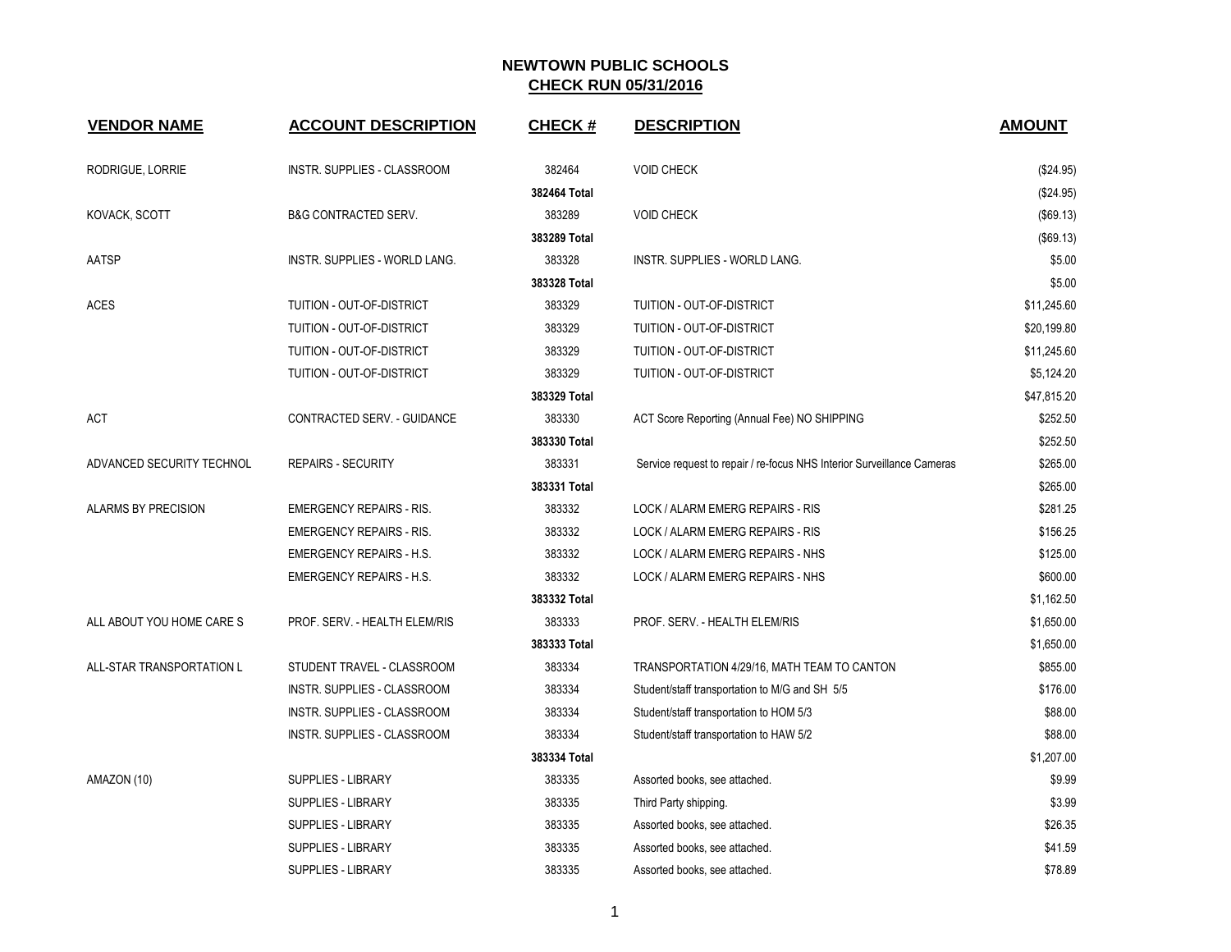| <b>VENDOR NAME</b>         | <b>ACCOUNT DESCRIPTION</b>      | <b>CHECK#</b> | <b>DESCRIPTION</b>                                                     | <b>AMOUNT</b> |
|----------------------------|---------------------------------|---------------|------------------------------------------------------------------------|---------------|
| RODRIGUE, LORRIE           | INSTR. SUPPLIES - CLASSROOM     | 382464        | <b>VOID CHECK</b>                                                      | (\$24.95)     |
|                            |                                 | 382464 Total  |                                                                        | (\$24.95)     |
| KOVACK, SCOTT              | <b>B&amp;G CONTRACTED SERV.</b> | 383289        | <b>VOID CHECK</b>                                                      | (\$69.13)     |
|                            |                                 | 383289 Total  |                                                                        | (\$69.13)     |
| AATSP                      | INSTR. SUPPLIES - WORLD LANG.   | 383328        | INSTR. SUPPLIES - WORLD LANG.                                          | \$5.00        |
|                            |                                 | 383328 Total  |                                                                        | \$5.00        |
| <b>ACES</b>                | TUITION - OUT-OF-DISTRICT       | 383329        | TUITION - OUT-OF-DISTRICT                                              | \$11,245.60   |
|                            | TUITION - OUT-OF-DISTRICT       | 383329        | TUITION - OUT-OF-DISTRICT                                              | \$20,199.80   |
|                            | TUITION - OUT-OF-DISTRICT       | 383329        | TUITION - OUT-OF-DISTRICT                                              | \$11,245.60   |
|                            | TUITION - OUT-OF-DISTRICT       | 383329        | TUITION - OUT-OF-DISTRICT                                              | \$5,124.20    |
|                            |                                 | 383329 Total  |                                                                        | \$47,815.20   |
| ACT                        | CONTRACTED SERV. - GUIDANCE     | 383330        | ACT Score Reporting (Annual Fee) NO SHIPPING                           | \$252.50      |
|                            |                                 | 383330 Total  |                                                                        | \$252.50      |
| ADVANCED SECURITY TECHNOL  | <b>REPAIRS - SECURITY</b>       | 383331        | Service request to repair / re-focus NHS Interior Surveillance Cameras | \$265.00      |
|                            |                                 | 383331 Total  |                                                                        | \$265.00      |
| <b>ALARMS BY PRECISION</b> | <b>EMERGENCY REPAIRS - RIS.</b> | 383332        | LOCK / ALARM EMERG REPAIRS - RIS                                       | \$281.25      |
|                            | <b>EMERGENCY REPAIRS - RIS.</b> | 383332        | LOCK / ALARM EMERG REPAIRS - RIS                                       | \$156.25      |
|                            | <b>EMERGENCY REPAIRS - H.S.</b> | 383332        | LOCK / ALARM EMERG REPAIRS - NHS                                       | \$125.00      |
|                            | EMERGENCY REPAIRS - H.S.        | 383332        | LOCK / ALARM EMERG REPAIRS - NHS                                       | \$600.00      |
|                            |                                 | 383332 Total  |                                                                        | \$1,162.50    |
| ALL ABOUT YOU HOME CARE S  | PROF. SERV. - HEALTH ELEM/RIS   | 383333        | PROF. SERV. - HEALTH ELEM/RIS                                          | \$1,650.00    |
|                            |                                 | 383333 Total  |                                                                        | \$1,650.00    |
| ALL-STAR TRANSPORTATION L  | STUDENT TRAVEL - CLASSROOM      | 383334        | TRANSPORTATION 4/29/16, MATH TEAM TO CANTON                            | \$855.00      |
|                            | INSTR. SUPPLIES - CLASSROOM     | 383334        | Student/staff transportation to M/G and SH 5/5                         | \$176.00      |
|                            | INSTR. SUPPLIES - CLASSROOM     | 383334        | Student/staff transportation to HOM 5/3                                | \$88.00       |
|                            | INSTR. SUPPLIES - CLASSROOM     | 383334        | Student/staff transportation to HAW 5/2                                | \$88.00       |
|                            |                                 | 383334 Total  |                                                                        | \$1,207.00    |
| AMAZON (10)                | <b>SUPPLIES - LIBRARY</b>       | 383335        | Assorted books, see attached.                                          | \$9.99        |
|                            | <b>SUPPLIES - LIBRARY</b>       | 383335        | Third Party shipping.                                                  | \$3.99        |
|                            | <b>SUPPLIES - LIBRARY</b>       | 383335        | Assorted books, see attached.                                          | \$26.35       |
|                            | SUPPLIES - LIBRARY              | 383335        | Assorted books, see attached.                                          | \$41.59       |
|                            | <b>SUPPLIES - LIBRARY</b>       | 383335        | Assorted books, see attached.                                          | \$78.89       |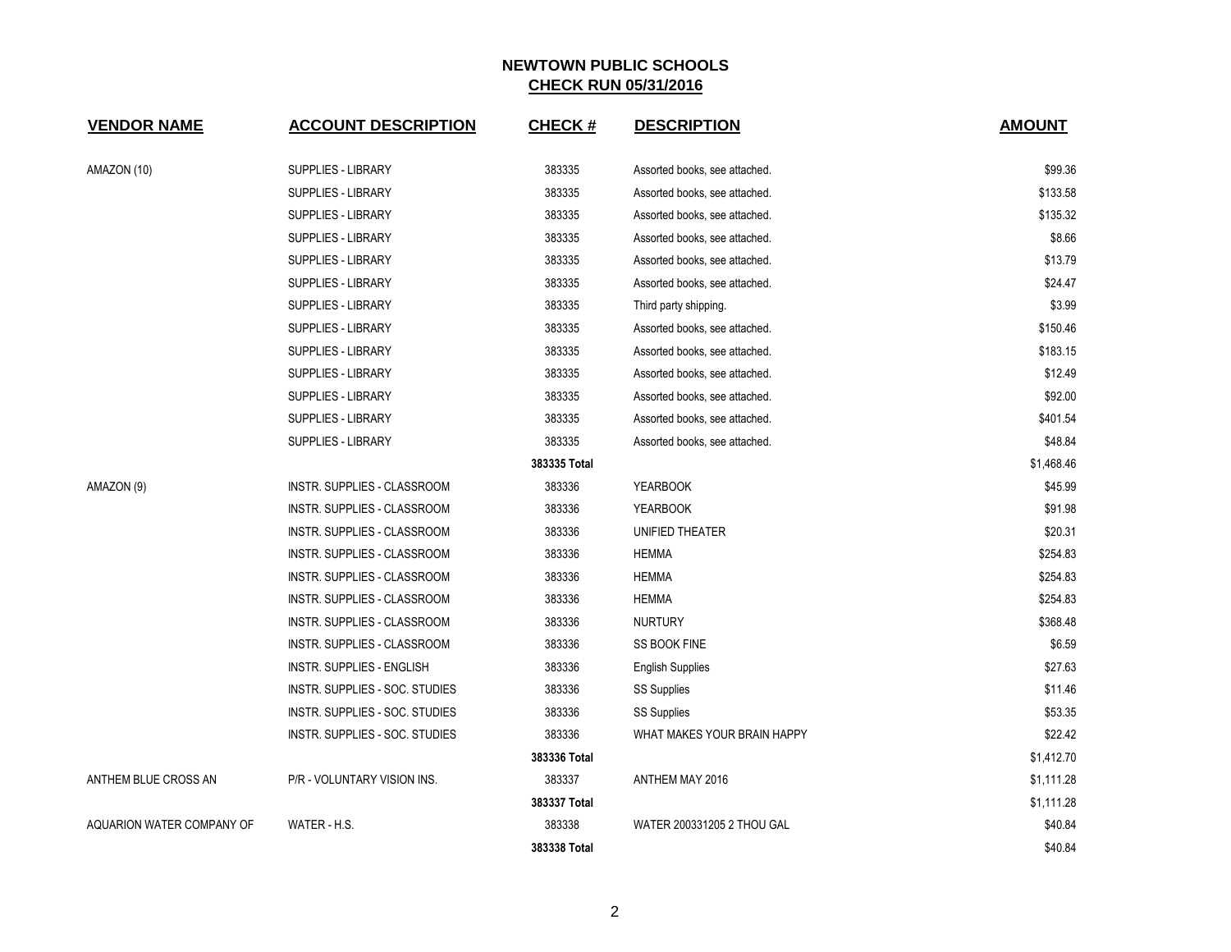| <b>VENDOR NAME</b>        | <b>ACCOUNT DESCRIPTION</b>       | <b>CHECK#</b> | <b>DESCRIPTION</b>            | <b>AMOUNT</b> |
|---------------------------|----------------------------------|---------------|-------------------------------|---------------|
|                           |                                  |               |                               |               |
| AMAZON (10)               | <b>SUPPLIES - LIBRARY</b>        | 383335        | Assorted books, see attached. | \$99.36       |
|                           | <b>SUPPLIES - LIBRARY</b>        | 383335        | Assorted books, see attached. | \$133.58      |
|                           | SUPPLIES - LIBRARY               | 383335        | Assorted books, see attached. | \$135.32      |
|                           | <b>SUPPLIES - LIBRARY</b>        | 383335        | Assorted books, see attached. | \$8.66        |
|                           | <b>SUPPLIES - LIBRARY</b>        | 383335        | Assorted books, see attached. | \$13.79       |
|                           | <b>SUPPLIES - LIBRARY</b>        | 383335        | Assorted books, see attached. | \$24.47       |
|                           | <b>SUPPLIES - LIBRARY</b>        | 383335        | Third party shipping.         | \$3.99        |
|                           | SUPPLIES - LIBRARY               | 383335        | Assorted books, see attached. | \$150.46      |
|                           | <b>SUPPLIES - LIBRARY</b>        | 383335        | Assorted books, see attached. | \$183.15      |
|                           | SUPPLIES - LIBRARY               | 383335        | Assorted books, see attached. | \$12.49       |
|                           | SUPPLIES - LIBRARY               | 383335        | Assorted books, see attached. | \$92.00       |
|                           | <b>SUPPLIES - LIBRARY</b>        | 383335        | Assorted books, see attached. | \$401.54      |
|                           | <b>SUPPLIES - LIBRARY</b>        | 383335        | Assorted books, see attached. | \$48.84       |
|                           |                                  | 383335 Total  |                               | \$1,468.46    |
| AMAZON (9)                | INSTR. SUPPLIES - CLASSROOM      | 383336        | <b>YEARBOOK</b>               | \$45.99       |
|                           | INSTR. SUPPLIES - CLASSROOM      | 383336        | <b>YEARBOOK</b>               | \$91.98       |
|                           | INSTR. SUPPLIES - CLASSROOM      | 383336        | UNIFIED THEATER               | \$20.31       |
|                           | INSTR. SUPPLIES - CLASSROOM      | 383336        | <b>HEMMA</b>                  | \$254.83      |
|                           | INSTR. SUPPLIES - CLASSROOM      | 383336        | <b>HEMMA</b>                  | \$254.83      |
|                           | INSTR. SUPPLIES - CLASSROOM      | 383336        | <b>HEMMA</b>                  | \$254.83      |
|                           | INSTR. SUPPLIES - CLASSROOM      | 383336        | <b>NURTURY</b>                | \$368.48      |
|                           | INSTR. SUPPLIES - CLASSROOM      | 383336        | SS BOOK FINE                  | \$6.59        |
|                           | <b>INSTR. SUPPLIES - ENGLISH</b> | 383336        | <b>English Supplies</b>       | \$27.63       |
|                           | INSTR. SUPPLIES - SOC. STUDIES   | 383336        | <b>SS Supplies</b>            | \$11.46       |
|                           | INSTR. SUPPLIES - SOC. STUDIES   | 383336        | SS Supplies                   | \$53.35       |
|                           | INSTR. SUPPLIES - SOC. STUDIES   | 383336        | WHAT MAKES YOUR BRAIN HAPPY   | \$22.42       |
|                           |                                  | 383336 Total  |                               | \$1,412.70    |
| ANTHEM BLUE CROSS AN      | P/R - VOLUNTARY VISION INS.      | 383337        | ANTHEM MAY 2016               | \$1,111.28    |
|                           |                                  | 383337 Total  |                               | \$1,111.28    |
| AQUARION WATER COMPANY OF | WATER - H.S.                     | 383338        | WATER 200331205 2 THOU GAL    | \$40.84       |
|                           |                                  | 383338 Total  |                               | \$40.84       |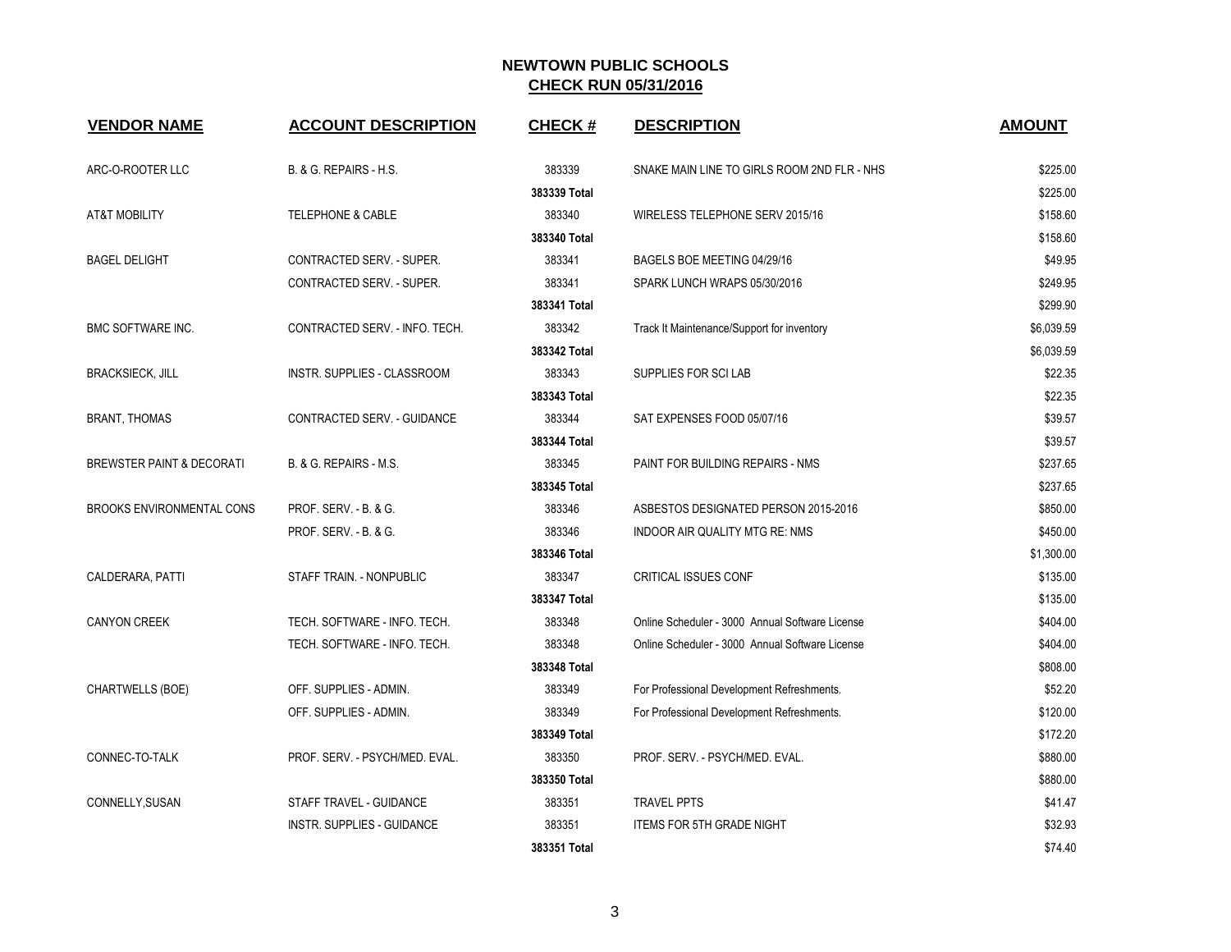| <b>VENDOR NAME</b>                   | <b>ACCOUNT DESCRIPTION</b>     | <b>CHECK#</b> | <b>DESCRIPTION</b>                              | <b>AMOUNT</b> |
|--------------------------------------|--------------------------------|---------------|-------------------------------------------------|---------------|
| ARC-O-ROOTER LLC                     | B. & G. REPAIRS - H.S.         | 383339        | SNAKE MAIN LINE TO GIRLS ROOM 2ND FLR - NHS     | \$225.00      |
|                                      |                                | 383339 Total  |                                                 | \$225.00      |
| <b>AT&amp;T MOBILITY</b>             | <b>TELEPHONE &amp; CABLE</b>   | 383340        | WIRELESS TELEPHONE SERV 2015/16                 | \$158.60      |
|                                      |                                | 383340 Total  |                                                 | \$158.60      |
| <b>BAGEL DELIGHT</b>                 | CONTRACTED SERV. - SUPER.      | 383341        | BAGELS BOE MEETING 04/29/16                     | \$49.95       |
|                                      | CONTRACTED SERV. - SUPER.      | 383341        | SPARK LUNCH WRAPS 05/30/2016                    | \$249.95      |
|                                      |                                | 383341 Total  |                                                 | \$299.90      |
| <b>BMC SOFTWARE INC.</b>             | CONTRACTED SERV. - INFO. TECH. | 383342        | Track It Maintenance/Support for inventory      | \$6,039.59    |
|                                      |                                | 383342 Total  |                                                 | \$6,039.59    |
| <b>BRACKSIECK, JILL</b>              | INSTR. SUPPLIES - CLASSROOM    | 383343        | SUPPLIES FOR SCILAB                             | \$22.35       |
|                                      |                                | 383343 Total  |                                                 | \$22.35       |
| <b>BRANT, THOMAS</b>                 | CONTRACTED SERV. - GUIDANCE    | 383344        | SAT EXPENSES FOOD 05/07/16                      | \$39.57       |
|                                      |                                | 383344 Total  |                                                 | \$39.57       |
| <b>BREWSTER PAINT &amp; DECORATI</b> | B. & G. REPAIRS - M.S.         | 383345        | PAINT FOR BUILDING REPAIRS - NMS                | \$237.65      |
|                                      |                                | 383345 Total  |                                                 | \$237.65      |
| <b>BROOKS ENVIRONMENTAL CONS</b>     | PROF. SERV. - B. & G.          | 383346        | ASBESTOS DESIGNATED PERSON 2015-2016            | \$850.00      |
|                                      | PROF. SERV. - B. & G.          | 383346        | INDOOR AIR QUALITY MTG RE: NMS                  | \$450.00      |
|                                      |                                | 383346 Total  |                                                 | \$1,300.00    |
| CALDERARA, PATTI                     | STAFF TRAIN. - NONPUBLIC       | 383347        | <b>CRITICAL ISSUES CONF</b>                     | \$135.00      |
|                                      |                                | 383347 Total  |                                                 | \$135.00      |
| <b>CANYON CREEK</b>                  | TECH. SOFTWARE - INFO. TECH.   | 383348        | Online Scheduler - 3000 Annual Software License | \$404.00      |
|                                      | TECH. SOFTWARE - INFO. TECH.   | 383348        | Online Scheduler - 3000 Annual Software License | \$404.00      |
|                                      |                                | 383348 Total  |                                                 | \$808.00      |
| CHARTWELLS (BOE)                     | OFF. SUPPLIES - ADMIN.         | 383349        | For Professional Development Refreshments.      | \$52.20       |
|                                      | OFF. SUPPLIES - ADMIN.         | 383349        | For Professional Development Refreshments.      | \$120.00      |
|                                      |                                | 383349 Total  |                                                 | \$172.20      |
| CONNEC-TO-TALK                       | PROF. SERV. - PSYCH/MED. EVAL. | 383350        | PROF. SERV. - PSYCH/MED. EVAL.                  | \$880.00      |
|                                      |                                | 383350 Total  |                                                 | \$880.00      |
| CONNELLY, SUSAN                      | STAFF TRAVEL - GUIDANCE        | 383351        | <b>TRAVEL PPTS</b>                              | \$41.47       |
|                                      | INSTR. SUPPLIES - GUIDANCE     | 383351        | <b>ITEMS FOR 5TH GRADE NIGHT</b>                | \$32.93       |
|                                      |                                | 383351 Total  |                                                 | \$74.40       |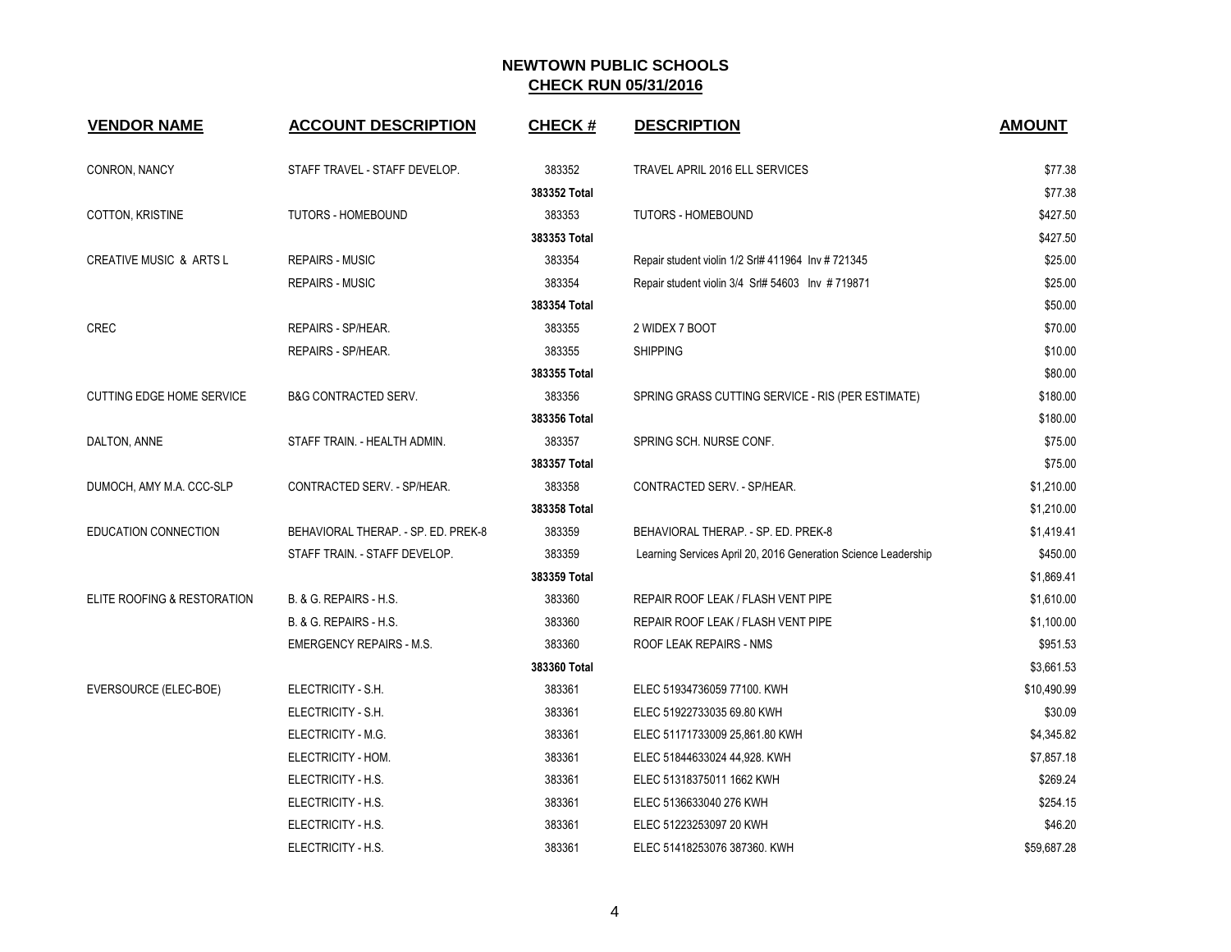| <b>VENDOR NAME</b>                 | <b>ACCOUNT DESCRIPTION</b>          | <b>CHECK#</b> | <b>DESCRIPTION</b>                                             | <b>AMOUNT</b> |
|------------------------------------|-------------------------------------|---------------|----------------------------------------------------------------|---------------|
| CONRON, NANCY                      | STAFF TRAVEL - STAFF DEVELOP.       | 383352        | TRAVEL APRIL 2016 ELL SERVICES                                 | \$77.38       |
|                                    |                                     | 383352 Total  |                                                                | \$77.38       |
| COTTON, KRISTINE                   | <b>TUTORS - HOMEBOUND</b>           | 383353        | <b>TUTORS - HOMEBOUND</b>                                      | \$427.50      |
|                                    |                                     | 383353 Total  |                                                                | \$427.50      |
| <b>CREATIVE MUSIC &amp; ARTS L</b> | <b>REPAIRS - MUSIC</b>              | 383354        | Repair student violin 1/2 Srl# 411964 Inv # 721345             | \$25.00       |
|                                    | <b>REPAIRS - MUSIC</b>              | 383354        | Repair student violin 3/4 Srl# 54603 Inv #719871               | \$25.00       |
|                                    |                                     | 383354 Total  |                                                                | \$50.00       |
| <b>CREC</b>                        | REPAIRS - SP/HEAR.                  | 383355        | 2 WIDEX 7 BOOT                                                 | \$70.00       |
|                                    | REPAIRS - SP/HEAR.                  | 383355        | <b>SHIPPING</b>                                                | \$10.00       |
|                                    |                                     | 383355 Total  |                                                                | \$80.00       |
| <b>CUTTING EDGE HOME SERVICE</b>   | <b>B&amp;G CONTRACTED SERV.</b>     | 383356        | SPRING GRASS CUTTING SERVICE - RIS (PER ESTIMATE)              | \$180.00      |
|                                    |                                     | 383356 Total  |                                                                | \$180.00      |
| DALTON, ANNE                       | STAFF TRAIN. - HEALTH ADMIN.        | 383357        | SPRING SCH. NURSE CONF.                                        | \$75.00       |
|                                    |                                     | 383357 Total  |                                                                | \$75.00       |
| DUMOCH, AMY M.A. CCC-SLP           | CONTRACTED SERV. - SP/HEAR.         | 383358        | CONTRACTED SERV. - SP/HEAR.                                    | \$1,210.00    |
|                                    |                                     | 383358 Total  |                                                                | \$1,210.00    |
| EDUCATION CONNECTION               | BEHAVIORAL THERAP. - SP. ED. PREK-8 | 383359        | BEHAVIORAL THERAP. - SP. ED. PREK-8                            | \$1,419.41    |
|                                    | STAFF TRAIN. - STAFF DEVELOP.       | 383359        | Learning Services April 20, 2016 Generation Science Leadership | \$450.00      |
|                                    |                                     | 383359 Total  |                                                                | \$1,869.41    |
| ELITE ROOFING & RESTORATION        | B. & G. REPAIRS - H.S.              | 383360        | REPAIR ROOF LEAK / FLASH VENT PIPE                             | \$1,610.00    |
|                                    | B. & G. REPAIRS - H.S.              | 383360        | REPAIR ROOF LEAK / FLASH VENT PIPE                             | \$1,100.00    |
|                                    | <b>EMERGENCY REPAIRS - M.S.</b>     | 383360        | ROOF LEAK REPAIRS - NMS                                        | \$951.53      |
|                                    |                                     | 383360 Total  |                                                                | \$3,661.53    |
| EVERSOURCE (ELEC-BOE)              | ELECTRICITY - S.H.                  | 383361        | ELEC 51934736059 77100. KWH                                    | \$10,490.99   |
|                                    | ELECTRICITY - S.H.                  | 383361        | ELEC 51922733035 69.80 KWH                                     | \$30.09       |
|                                    | ELECTRICITY - M.G.                  | 383361        | ELEC 51171733009 25,861.80 KWH                                 | \$4,345.82    |
|                                    | ELECTRICITY - HOM.                  | 383361        | ELEC 51844633024 44,928. KWH                                   | \$7,857.18    |
|                                    | ELECTRICITY - H.S.                  | 383361        | ELEC 51318375011 1662 KWH                                      | \$269.24      |
|                                    | ELECTRICITY - H.S.                  | 383361        | ELEC 5136633040 276 KWH                                        | \$254.15      |
|                                    | ELECTRICITY - H.S.                  | 383361        | ELEC 51223253097 20 KWH                                        | \$46.20       |
|                                    | ELECTRICITY - H.S.                  | 383361        | ELEC 51418253076 387360. KWH                                   | \$59,687.28   |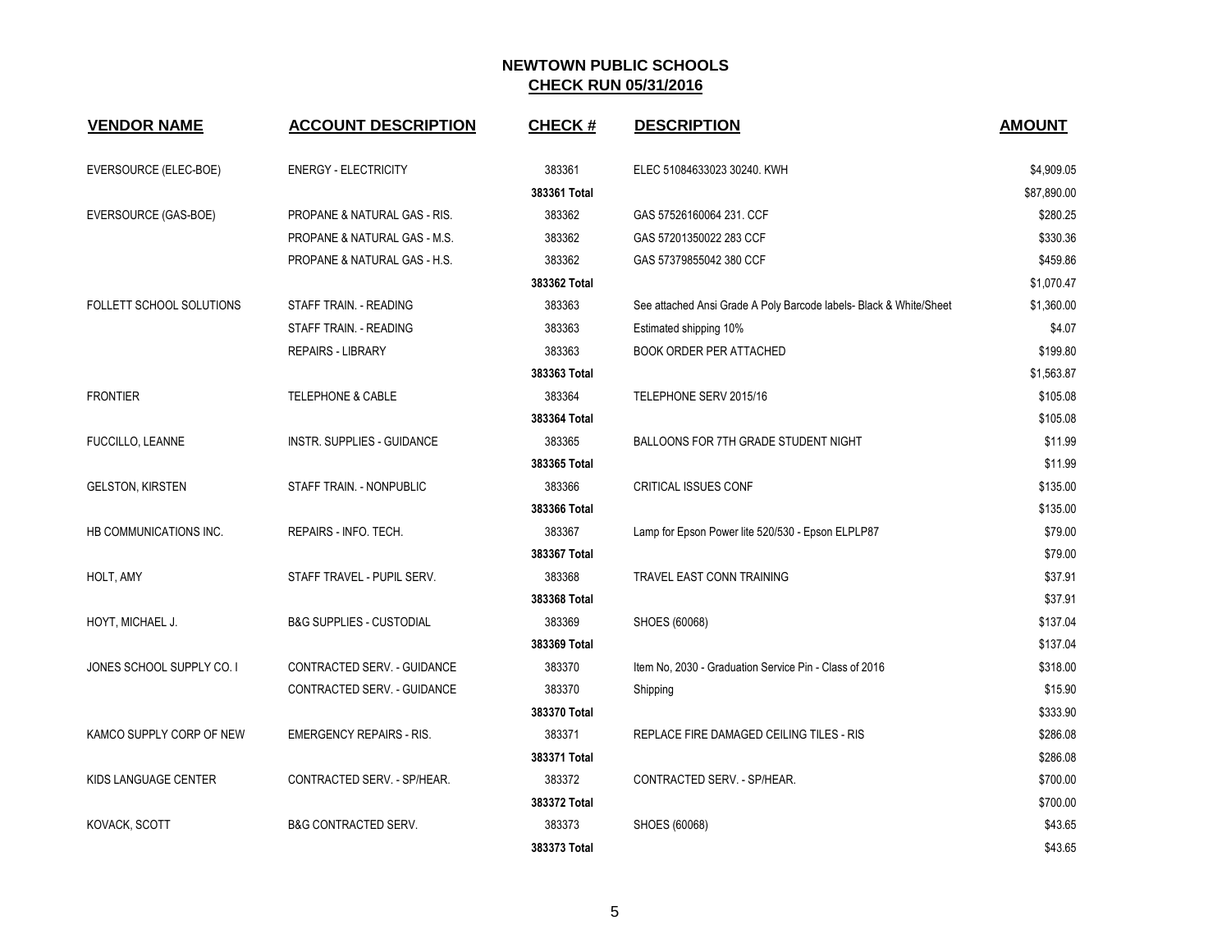| <b>VENDOR NAME</b>        | <b>ACCOUNT DESCRIPTION</b>          | <b>CHECK#</b> | <b>DESCRIPTION</b>                                                 | <b>AMOUNT</b> |
|---------------------------|-------------------------------------|---------------|--------------------------------------------------------------------|---------------|
| EVERSOURCE (ELEC-BOE)     | <b>ENERGY - ELECTRICITY</b>         | 383361        | ELEC 51084633023 30240. KWH                                        | \$4,909.05    |
|                           |                                     | 383361 Total  |                                                                    | \$87,890.00   |
| EVERSOURCE (GAS-BOE)      | PROPANE & NATURAL GAS - RIS.        | 383362        | GAS 57526160064 231. CCF                                           | \$280.25      |
|                           | PROPANE & NATURAL GAS - M.S.        | 383362        | GAS 57201350022 283 CCF                                            | \$330.36      |
|                           | PROPANE & NATURAL GAS - H.S.        | 383362        | GAS 57379855042 380 CCF                                            | \$459.86      |
|                           |                                     | 383362 Total  |                                                                    | \$1,070.47    |
| FOLLETT SCHOOL SOLUTIONS  | STAFF TRAIN. - READING              | 383363        | See attached Ansi Grade A Poly Barcode labels- Black & White/Sheet | \$1,360.00    |
|                           | STAFF TRAIN. - READING              | 383363        | Estimated shipping 10%                                             | \$4.07        |
|                           | <b>REPAIRS - LIBRARY</b>            | 383363        | <b>BOOK ORDER PER ATTACHED</b>                                     | \$199.80      |
|                           |                                     | 383363 Total  |                                                                    | \$1,563.87    |
| <b>FRONTIER</b>           | <b>TELEPHONE &amp; CABLE</b>        | 383364        | TELEPHONE SERV 2015/16                                             | \$105.08      |
|                           |                                     | 383364 Total  |                                                                    | \$105.08      |
| FUCCILLO, LEANNE          | <b>INSTR. SUPPLIES - GUIDANCE</b>   | 383365        | BALLOONS FOR 7TH GRADE STUDENT NIGHT                               | \$11.99       |
|                           |                                     | 383365 Total  |                                                                    | \$11.99       |
| <b>GELSTON, KIRSTEN</b>   | STAFF TRAIN. - NONPUBLIC            | 383366        | <b>CRITICAL ISSUES CONF</b>                                        | \$135.00      |
|                           |                                     | 383366 Total  |                                                                    | \$135.00      |
| HB COMMUNICATIONS INC.    | REPAIRS - INFO. TECH.               | 383367        | Lamp for Epson Power lite 520/530 - Epson ELPLP87                  | \$79.00       |
|                           |                                     | 383367 Total  |                                                                    | \$79.00       |
| HOLT, AMY                 | STAFF TRAVEL - PUPIL SERV.          | 383368        | TRAVEL EAST CONN TRAINING                                          | \$37.91       |
|                           |                                     | 383368 Total  |                                                                    | \$37.91       |
| HOYT, MICHAEL J.          | <b>B&amp;G SUPPLIES - CUSTODIAL</b> | 383369        | SHOES (60068)                                                      | \$137.04      |
|                           |                                     | 383369 Total  |                                                                    | \$137.04      |
| JONES SCHOOL SUPPLY CO. I | CONTRACTED SERV. - GUIDANCE         | 383370        | Item No, 2030 - Graduation Service Pin - Class of 2016             | \$318.00      |
|                           | CONTRACTED SERV. - GUIDANCE         | 383370        | Shipping                                                           | \$15.90       |
|                           |                                     | 383370 Total  |                                                                    | \$333.90      |
| KAMCO SUPPLY CORP OF NEW  | <b>EMERGENCY REPAIRS - RIS.</b>     | 383371        | REPLACE FIRE DAMAGED CEILING TILES - RIS                           | \$286.08      |
|                           |                                     | 383371 Total  |                                                                    | \$286.08      |
| KIDS LANGUAGE CENTER      | CONTRACTED SERV. - SP/HEAR.         | 383372        | CONTRACTED SERV. - SP/HEAR.                                        | \$700.00      |
|                           |                                     | 383372 Total  |                                                                    | \$700.00      |
| KOVACK, SCOTT             | <b>B&amp;G CONTRACTED SERV.</b>     | 383373        | SHOES (60068)                                                      | \$43.65       |
|                           |                                     | 383373 Total  |                                                                    | \$43.65       |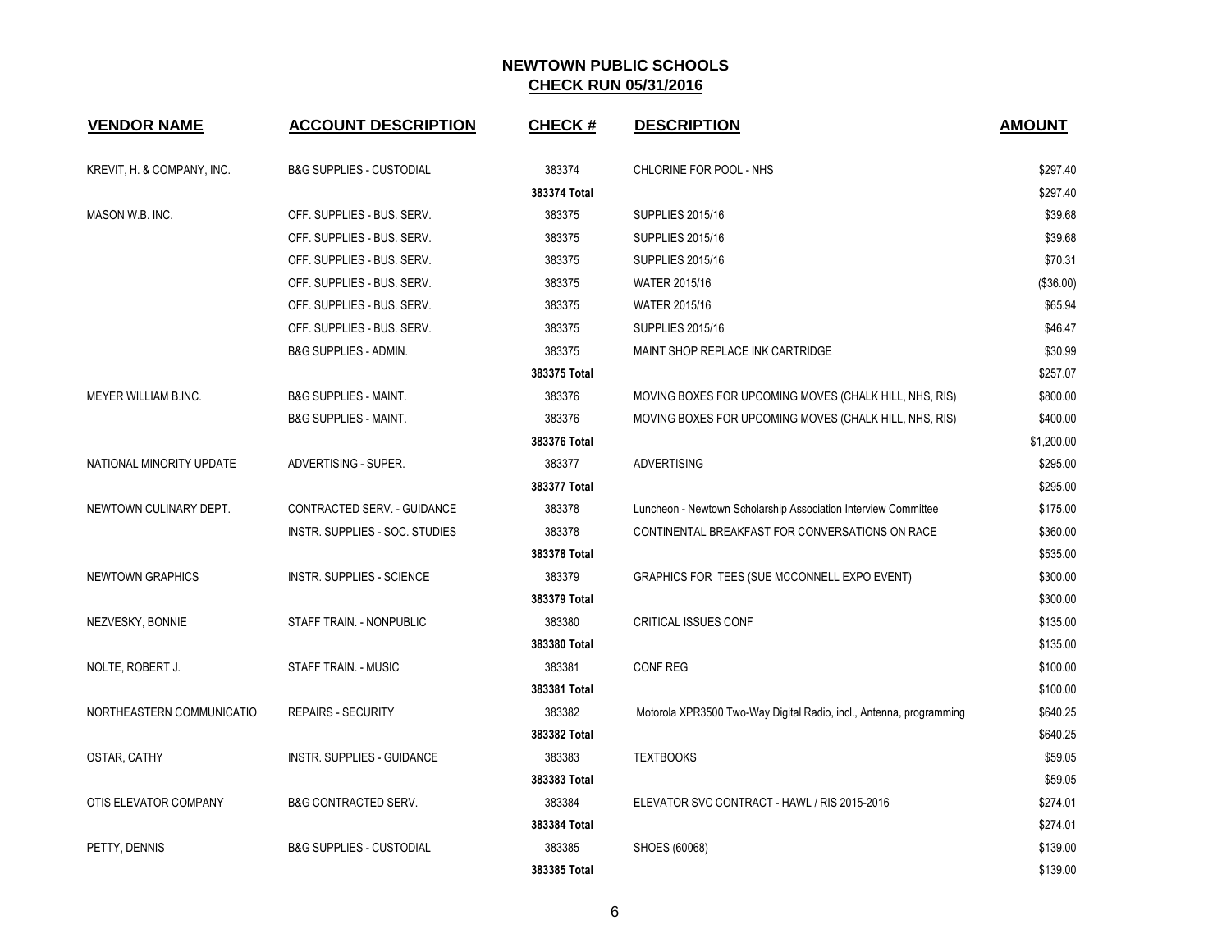| <b>VENDOR NAME</b>         | <b>ACCOUNT DESCRIPTION</b>          | <b>CHECK#</b> | <b>DESCRIPTION</b>                                                  | <b>AMOUNT</b> |
|----------------------------|-------------------------------------|---------------|---------------------------------------------------------------------|---------------|
| KREVIT, H. & COMPANY, INC. | <b>B&amp;G SUPPLIES - CUSTODIAL</b> | 383374        | CHLORINE FOR POOL - NHS                                             | \$297.40      |
|                            |                                     | 383374 Total  |                                                                     | \$297.40      |
| MASON W.B. INC.            | OFF. SUPPLIES - BUS. SERV.          | 383375        | <b>SUPPLIES 2015/16</b>                                             | \$39.68       |
|                            | OFF. SUPPLIES - BUS. SERV.          | 383375        | <b>SUPPLIES 2015/16</b>                                             | \$39.68       |
|                            | OFF. SUPPLIES - BUS. SERV.          | 383375        | <b>SUPPLIES 2015/16</b>                                             | \$70.31       |
|                            | OFF. SUPPLIES - BUS. SERV.          | 383375        | <b>WATER 2015/16</b>                                                | (\$36.00)     |
|                            | OFF. SUPPLIES - BUS. SERV.          | 383375        | <b>WATER 2015/16</b>                                                | \$65.94       |
|                            | OFF. SUPPLIES - BUS. SERV.          | 383375        | <b>SUPPLIES 2015/16</b>                                             | \$46.47       |
|                            | <b>B&amp;G SUPPLIES - ADMIN.</b>    | 383375        | MAINT SHOP REPLACE INK CARTRIDGE                                    | \$30.99       |
|                            |                                     | 383375 Total  |                                                                     | \$257.07      |
| MEYER WILLIAM B.INC.       | <b>B&amp;G SUPPLIES - MAINT.</b>    | 383376        | MOVING BOXES FOR UPCOMING MOVES (CHALK HILL, NHS, RIS)              | \$800.00      |
|                            | <b>B&amp;G SUPPLIES - MAINT.</b>    | 383376        | MOVING BOXES FOR UPCOMING MOVES (CHALK HILL, NHS, RIS)              | \$400.00      |
|                            |                                     | 383376 Total  |                                                                     | \$1,200.00    |
| NATIONAL MINORITY UPDATE   | ADVERTISING - SUPER.                | 383377        | <b>ADVERTISING</b>                                                  | \$295.00      |
|                            |                                     | 383377 Total  |                                                                     | \$295.00      |
| NEWTOWN CULINARY DEPT.     | CONTRACTED SERV. - GUIDANCE         | 383378        | Luncheon - Newtown Scholarship Association Interview Committee      | \$175.00      |
|                            | INSTR. SUPPLIES - SOC. STUDIES      | 383378        | CONTINENTAL BREAKFAST FOR CONVERSATIONS ON RACE                     | \$360.00      |
|                            |                                     | 383378 Total  |                                                                     | \$535.00      |
| <b>NEWTOWN GRAPHICS</b>    | <b>INSTR. SUPPLIES - SCIENCE</b>    | 383379        | GRAPHICS FOR TEES (SUE MCCONNELL EXPO EVENT)                        | \$300.00      |
|                            |                                     | 383379 Total  |                                                                     | \$300.00      |
| NEZVESKY, BONNIE           | STAFF TRAIN. - NONPUBLIC            | 383380        | CRITICAL ISSUES CONF                                                | \$135.00      |
|                            |                                     | 383380 Total  |                                                                     | \$135.00      |
| NOLTE, ROBERT J.           | STAFF TRAIN. - MUSIC                | 383381        | <b>CONF REG</b>                                                     | \$100.00      |
|                            |                                     | 383381 Total  |                                                                     | \$100.00      |
| NORTHEASTERN COMMUNICATIO  | <b>REPAIRS - SECURITY</b>           | 383382        | Motorola XPR3500 Two-Way Digital Radio, incl., Antenna, programming | \$640.25      |
|                            |                                     | 383382 Total  |                                                                     | \$640.25      |
| OSTAR, CATHY               | INSTR. SUPPLIES - GUIDANCE          | 383383        | <b>TEXTBOOKS</b>                                                    | \$59.05       |
|                            |                                     | 383383 Total  |                                                                     | \$59.05       |
| OTIS ELEVATOR COMPANY      | <b>B&amp;G CONTRACTED SERV.</b>     | 383384        | ELEVATOR SVC CONTRACT - HAWL / RIS 2015-2016                        | \$274.01      |
|                            |                                     | 383384 Total  |                                                                     | \$274.01      |
| PETTY, DENNIS              | <b>B&amp;G SUPPLIES - CUSTODIAL</b> | 383385        | SHOES (60068)                                                       | \$139.00      |
|                            |                                     | 383385 Total  |                                                                     | \$139.00      |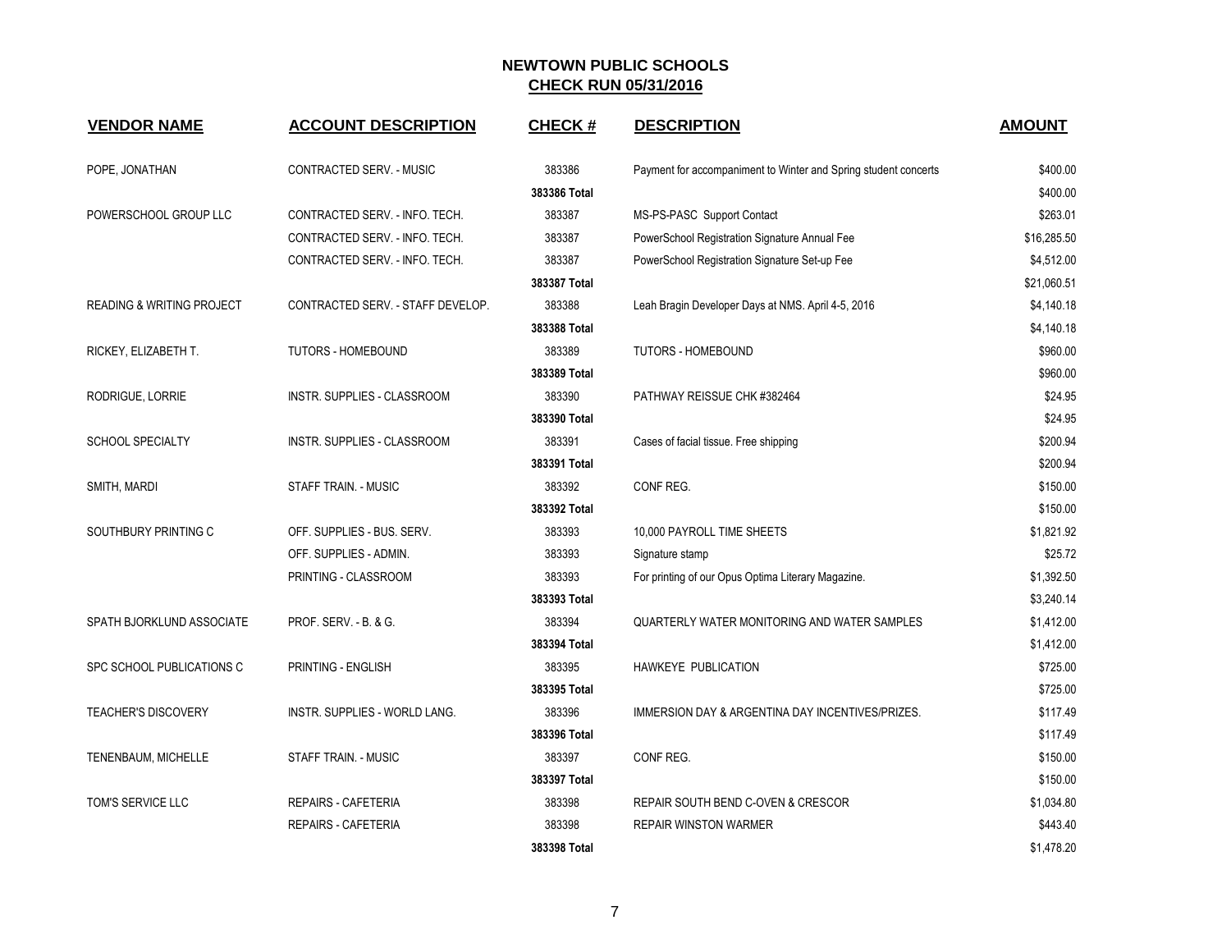| <b>VENDOR NAME</b>                   | <b>ACCOUNT DESCRIPTION</b>        | <b>CHECK#</b> | <b>DESCRIPTION</b>                                              | <b>AMOUNT</b> |
|--------------------------------------|-----------------------------------|---------------|-----------------------------------------------------------------|---------------|
| POPE, JONATHAN                       | CONTRACTED SERV. - MUSIC          | 383386        | Payment for accompaniment to Winter and Spring student concerts | \$400.00      |
|                                      |                                   | 383386 Total  |                                                                 | \$400.00      |
| POWERSCHOOL GROUP LLC                | CONTRACTED SERV. - INFO. TECH.    | 383387        | MS-PS-PASC Support Contact                                      | \$263.01      |
|                                      | CONTRACTED SERV. - INFO. TECH.    | 383387        | PowerSchool Registration Signature Annual Fee                   | \$16,285.50   |
|                                      | CONTRACTED SERV. - INFO. TECH.    | 383387        | PowerSchool Registration Signature Set-up Fee                   | \$4,512.00    |
|                                      |                                   | 383387 Total  |                                                                 | \$21,060.51   |
| <b>READING &amp; WRITING PROJECT</b> | CONTRACTED SERV. - STAFF DEVELOP. | 383388        | Leah Bragin Developer Days at NMS. April 4-5, 2016              | \$4,140.18    |
|                                      |                                   | 383388 Total  |                                                                 | \$4,140.18    |
| RICKEY, ELIZABETH T.                 | TUTORS - HOMEBOUND                | 383389        | <b>TUTORS - HOMEBOUND</b>                                       | \$960.00      |
|                                      |                                   | 383389 Total  |                                                                 | \$960.00      |
| RODRIGUE, LORRIE                     | INSTR. SUPPLIES - CLASSROOM       | 383390        | PATHWAY REISSUE CHK #382464                                     | \$24.95       |
|                                      |                                   | 383390 Total  |                                                                 | \$24.95       |
| <b>SCHOOL SPECIALTY</b>              | INSTR. SUPPLIES - CLASSROOM       | 383391        | Cases of facial tissue. Free shipping                           | \$200.94      |
|                                      |                                   | 383391 Total  |                                                                 | \$200.94      |
| SMITH, MARDI                         | <b>STAFF TRAIN. - MUSIC</b>       | 383392        | CONF REG.                                                       | \$150.00      |
|                                      |                                   | 383392 Total  |                                                                 | \$150.00      |
| SOUTHBURY PRINTING C                 | OFF. SUPPLIES - BUS. SERV.        | 383393        | 10.000 PAYROLL TIME SHEETS                                      | \$1,821.92    |
|                                      | OFF. SUPPLIES - ADMIN.            | 383393        | Signature stamp                                                 | \$25.72       |
|                                      | PRINTING - CLASSROOM              | 383393        | For printing of our Opus Optima Literary Magazine.              | \$1,392.50    |
|                                      |                                   | 383393 Total  |                                                                 | \$3,240.14    |
| SPATH BJORKLUND ASSOCIATE            | PROF. SERV. - B. & G.             | 383394        | QUARTERLY WATER MONITORING AND WATER SAMPLES                    | \$1,412.00    |
|                                      |                                   | 383394 Total  |                                                                 | \$1,412.00    |
| SPC SCHOOL PUBLICATIONS C            | PRINTING - ENGLISH                | 383395        | HAWKEYE PUBLICATION                                             | \$725.00      |
|                                      |                                   | 383395 Total  |                                                                 | \$725.00      |
| <b>TEACHER'S DISCOVERY</b>           | INSTR. SUPPLIES - WORLD LANG.     | 383396        | IMMERSION DAY & ARGENTINA DAY INCENTIVES/PRIZES.                | \$117.49      |
|                                      |                                   | 383396 Total  |                                                                 | \$117.49      |
| TENENBAUM, MICHELLE                  | <b>STAFF TRAIN. - MUSIC</b>       | 383397        | CONF REG.                                                       | \$150.00      |
|                                      |                                   | 383397 Total  |                                                                 | \$150.00      |
| TOM'S SERVICE LLC                    | <b>REPAIRS - CAFETERIA</b>        | 383398        | REPAIR SOUTH BEND C-OVEN & CRESCOR                              | \$1,034.80    |
|                                      | <b>REPAIRS - CAFETERIA</b>        | 383398        | <b>REPAIR WINSTON WARMER</b>                                    | \$443.40      |
|                                      |                                   | 383398 Total  |                                                                 | \$1,478.20    |